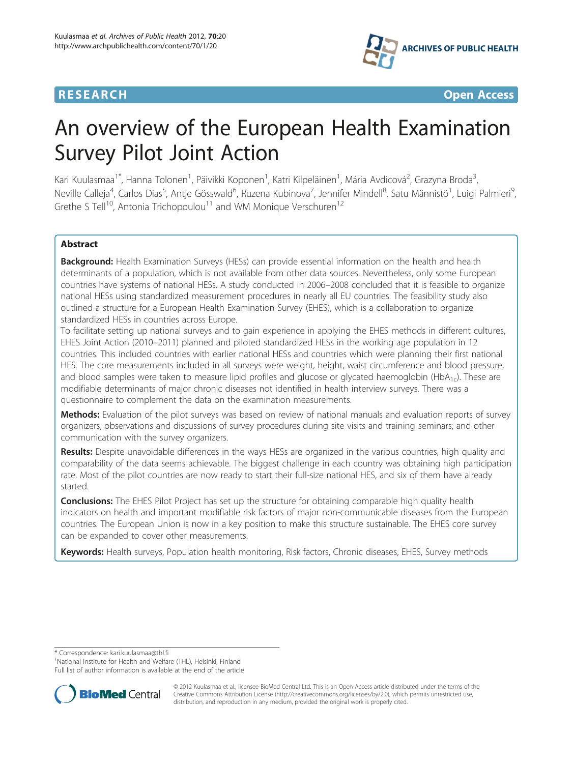## **RESEARCH CHILD CONTROL** CONTROL CONTROL CONTROL CONTROL CONTROL CONTROL CONTROL CONTROL CONTROL CONTROL CONTROL CONTROL CONTROL CONTROL CONTROL CONTROL CONTROL CONTROL CONTROL CONTROL CONTROL CONTROL CONTROL CONTROL CONTR



# An overview of the European Health Examination Survey Pilot Joint Action

Kari Kuulasmaa<sup>1\*</sup>, Hanna Tolonen<sup>1</sup>, Päivikki Koponen<sup>1</sup>, Katri Kilpeläinen<sup>1</sup>, Mária Avdicová<sup>2</sup>, Grazyna Broda<sup>3</sup> , Neville Calleja<sup>4</sup>, Carlos Dias<sup>5</sup>, Antje Gösswald<sup>6</sup>, Ruzena Kubinova<sup>7</sup>, Jennifer Mindell<sup>8</sup>, Satu Männistö<sup>1</sup>, Luigi Palmieri<sup>s</sup> , Grethe S Tell<sup>10</sup>, Antonia Trichopoulou<sup>11</sup> and WM Monique Verschuren<sup>12</sup>

## Abstract

**Background:** Health Examination Surveys (HESs) can provide essential information on the health and health determinants of a population, which is not available from other data sources. Nevertheless, only some European countries have systems of national HESs. A study conducted in 2006–2008 concluded that it is feasible to organize national HESs using standardized measurement procedures in nearly all EU countries. The feasibility study also outlined a structure for a European Health Examination Survey (EHES), which is a collaboration to organize standardized HESs in countries across Europe.

To facilitate setting up national surveys and to gain experience in applying the EHES methods in different cultures, EHES Joint Action (2010–2011) planned and piloted standardized HESs in the working age population in 12 countries. This included countries with earlier national HESs and countries which were planning their first national HES. The core measurements included in all surveys were weight, height, waist circumference and blood pressure, and blood samples were taken to measure lipid profiles and glucose or glycated haemoglobin (HbA<sub>1c</sub>). These are modifiable determinants of major chronic diseases not identified in health interview surveys. There was a questionnaire to complement the data on the examination measurements.

Methods: Evaluation of the pilot surveys was based on review of national manuals and evaluation reports of survey organizers; observations and discussions of survey procedures during site visits and training seminars; and other communication with the survey organizers.

Results: Despite unavoidable differences in the ways HESs are organized in the various countries, high quality and comparability of the data seems achievable. The biggest challenge in each country was obtaining high participation rate. Most of the pilot countries are now ready to start their full-size national HES, and six of them have already started.

**Conclusions:** The EHES Pilot Project has set up the structure for obtaining comparable high quality health indicators on health and important modifiable risk factors of major non-communicable diseases from the European countries. The European Union is now in a key position to make this structure sustainable. The EHES core survey can be expanded to cover other measurements.

Keywords: Health surveys, Population health monitoring, Risk factors, Chronic diseases, EHES, Survey methods

\* Correspondence: [kari.kuulasmaa@thl.fi](mailto:kari.kuulasmaa@thl.fi) <sup>1</sup>

<sup>1</sup>National Institute for Health and Welfare (THL), Helsinki, Finland Full list of author information is available at the end of the article



© 2012 Kuulasmaa et al.; licensee BioMed Central Ltd. This is an Open Access article distributed under the terms of the Creative Commons Attribution License (<http://creativecommons.org/licenses/by/2.0>), which permits unrestricted use, distribution, and reproduction in any medium, provided the original work is properly cited.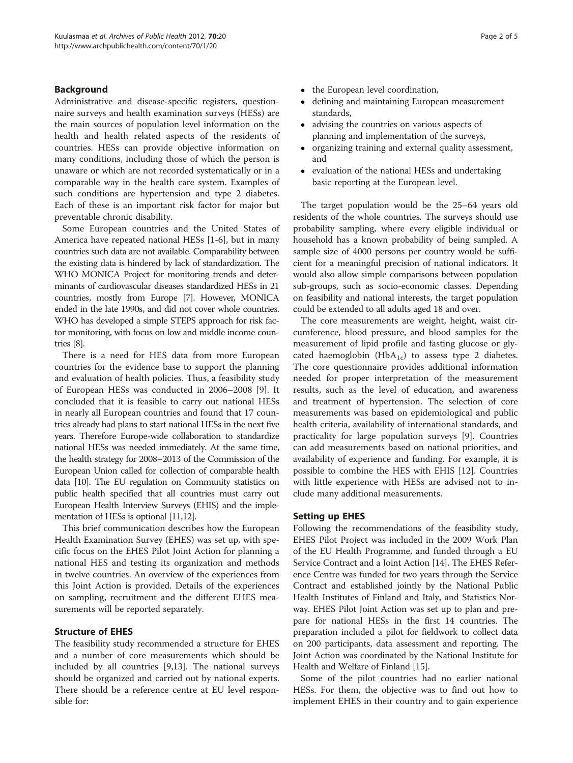## Background

Administrative and disease-specific registers, questionnaire surveys and health examination surveys (HESs) are the main sources of population level information on the health and health related aspects of the residents of countries. HESs can provide objective information on many conditions, including those of which the person is unaware or which are not recorded systematically or in a comparable way in the health care system. Examples of such conditions are hypertension and type 2 diabetes. Each of these is an important risk factor for major but preventable chronic disability.

Some European countries and the United States of America have repeated national HESs [\[1](#page-4-0)-[6\]](#page-4-0), but in many countries such data are not available. Comparability between the existing data is hindered by lack of standardization. The WHO MONICA Project for monitoring trends and determinants of cardiovascular diseases standardized HESs in 21 countries, mostly from Europe [\[7\]](#page-4-0). However, MONICA ended in the late 1990s, and did not cover whole countries. WHO has developed a simple STEPS approach for risk factor monitoring, with focus on low and middle income countries [[8](#page-4-0)].

There is a need for HES data from more European countries for the evidence base to support the planning and evaluation of health policies. Thus, a feasibility study of European HESs was conducted in 2006–2008 [[9\]](#page-4-0). It concluded that it is feasible to carry out national HESs in nearly all European countries and found that 17 countries already had plans to start national HESs in the next five years. Therefore Europe-wide collaboration to standardize national HESs was needed immediately. At the same time, the health strategy for 2008–2013 of the Commission of the European Union called for collection of comparable health data [\[10\]](#page-4-0). The EU regulation on Community statistics on public health specified that all countries must carry out European Health Interview Surveys (EHIS) and the implementation of HESs is optional [[11,12](#page-4-0)].

This brief communication describes how the European Health Examination Survey (EHES) was set up, with specific focus on the EHES Pilot Joint Action for planning a national HES and testing its organization and methods in twelve countries. An overview of the experiences from this Joint Action is provided. Details of the experiences on sampling, recruitment and the different EHES measurements will be reported separately.

## Structure of EHES

The feasibility study recommended a structure for EHES and a number of core measurements which should be included by all countries [\[9,13\]](#page-4-0). The national surveys should be organized and carried out by national experts. There should be a reference centre at EU level responsible for:

- the European level coordination,<br>• defining and maintaining Europe
- defining and maintaining European measurement standards,
- advising the countries on various aspects of planning and implementation of the surveys,
- organizing training and external quality assessment, and
- evaluation of the national HESs and undertaking basic reporting at the European level.

The target population would be the 25–64 years old residents of the whole countries. The surveys should use probability sampling, where every eligible individual or household has a known probability of being sampled. A sample size of 4000 persons per country would be sufficient for a meaningful precision of national indicators. It would also allow simple comparisons between population sub-groups, such as socio-economic classes. Depending on feasibility and national interests, the target population could be extended to all adults aged 18 and over.

The core measurements are weight, height, waist circumference, blood pressure, and blood samples for the measurement of lipid profile and fasting glucose or glycated haemoglobin  $(HbA_{1c})$  to assess type 2 diabetes. The core questionnaire provides additional information needed for proper interpretation of the measurement results, such as the level of education, and awareness and treatment of hypertension. The selection of core measurements was based on epidemiological and public health criteria, availability of international standards, and practicality for large population surveys [\[9](#page-4-0)]. Countries can add measurements based on national priorities, and availability of experience and funding. For example, it is possible to combine the HES with EHIS [[12\]](#page-4-0). Countries with little experience with HESs are advised not to include many additional measurements.

## Setting up EHES

Following the recommendations of the feasibility study, EHES Pilot Project was included in the 2009 Work Plan of the EU Health Programme, and funded through a EU Service Contract and a Joint Action [\[14](#page-4-0)]. The EHES Reference Centre was funded for two years through the Service Contract and established jointly by the National Public Health Institutes of Finland and Italy, and Statistics Norway. EHES Pilot Joint Action was set up to plan and prepare for national HESs in the first 14 countries. The preparation included a pilot for fieldwork to collect data on 200 participants, data assessment and reporting. The Joint Action was coordinated by the National Institute for Health and Welfare of Finland [\[15\]](#page-4-0).

Some of the pilot countries had no earlier national HESs. For them, the objective was to find out how to implement EHES in their country and to gain experience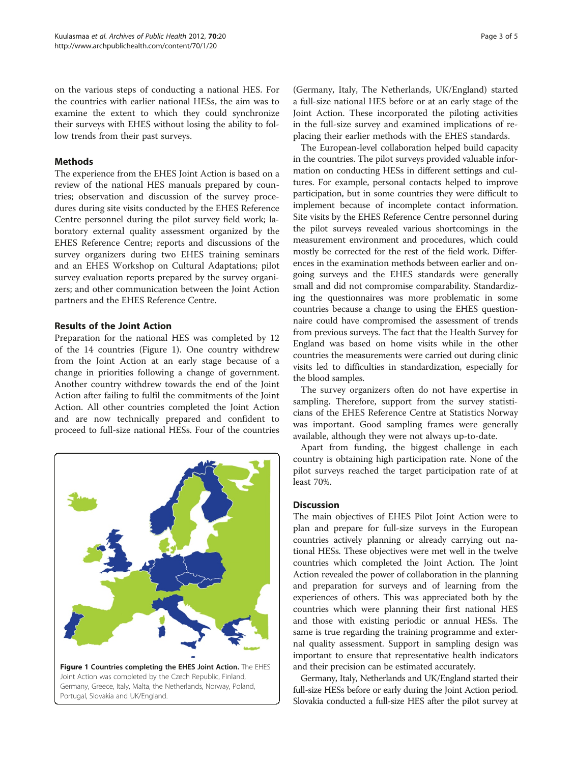on the various steps of conducting a national HES. For the countries with earlier national HESs, the aim was to examine the extent to which they could synchronize their surveys with EHES without losing the ability to follow trends from their past surveys.

## Methods

The experience from the EHES Joint Action is based on a review of the national HES manuals prepared by countries; observation and discussion of the survey procedures during site visits conducted by the EHES Reference Centre personnel during the pilot survey field work; laboratory external quality assessment organized by the EHES Reference Centre; reports and discussions of the survey organizers during two EHES training seminars and an EHES Workshop on Cultural Adaptations; pilot survey evaluation reports prepared by the survey organizers; and other communication between the Joint Action partners and the EHES Reference Centre.

## Results of the Joint Action

Preparation for the national HES was completed by 12 of the 14 countries (Figure 1). One country withdrew from the Joint Action at an early stage because of a change in priorities following a change of government. Another country withdrew towards the end of the Joint Action after failing to fulfil the commitments of the Joint Action. All other countries completed the Joint Action and are now technically prepared and confident to proceed to full-size national HESs. Four of the countries



(Germany, Italy, The Netherlands, UK/England) started a full-size national HES before or at an early stage of the Joint Action. These incorporated the piloting activities in the full-size survey and examined implications of replacing their earlier methods with the EHES standards.

The European-level collaboration helped build capacity in the countries. The pilot surveys provided valuable information on conducting HESs in different settings and cultures. For example, personal contacts helped to improve participation, but in some countries they were difficult to implement because of incomplete contact information. Site visits by the EHES Reference Centre personnel during the pilot surveys revealed various shortcomings in the measurement environment and procedures, which could mostly be corrected for the rest of the field work. Differences in the examination methods between earlier and ongoing surveys and the EHES standards were generally small and did not compromise comparability. Standardizing the questionnaires was more problematic in some countries because a change to using the EHES questionnaire could have compromised the assessment of trends from previous surveys. The fact that the Health Survey for England was based on home visits while in the other countries the measurements were carried out during clinic visits led to difficulties in standardization, especially for the blood samples.

The survey organizers often do not have expertise in sampling. Therefore, support from the survey statisticians of the EHES Reference Centre at Statistics Norway was important. Good sampling frames were generally available, although they were not always up-to-date.

Apart from funding, the biggest challenge in each country is obtaining high participation rate. None of the pilot surveys reached the target participation rate of at least 70%.

## **Discussion**

The main objectives of EHES Pilot Joint Action were to plan and prepare for full-size surveys in the European countries actively planning or already carrying out national HESs. These objectives were met well in the twelve countries which completed the Joint Action. The Joint Action revealed the power of collaboration in the planning and preparation for surveys and of learning from the experiences of others. This was appreciated both by the countries which were planning their first national HES and those with existing periodic or annual HESs. The same is true regarding the training programme and external quality assessment. Support in sampling design was important to ensure that representative health indicators and their precision can be estimated accurately.

Germany, Italy, Netherlands and UK/England started their full-size HESs before or early during the Joint Action period. Slovakia conducted a full-size HES after the pilot survey at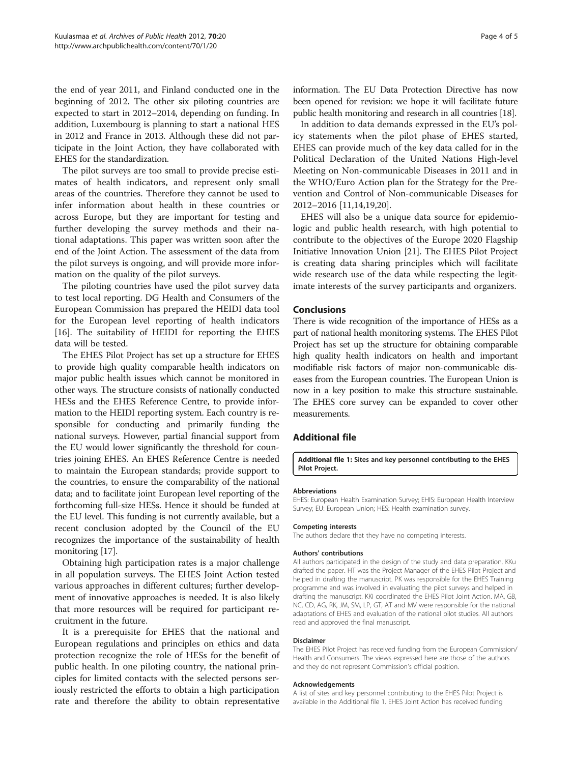the end of year 2011, and Finland conducted one in the beginning of 2012. The other six piloting countries are expected to start in 2012–2014, depending on funding. In addition, Luxembourg is planning to start a national HES in 2012 and France in 2013. Although these did not participate in the Joint Action, they have collaborated with EHES for the standardization.

The pilot surveys are too small to provide precise estimates of health indicators, and represent only small areas of the countries. Therefore they cannot be used to infer information about health in these countries or across Europe, but they are important for testing and further developing the survey methods and their national adaptations. This paper was written soon after the end of the Joint Action. The assessment of the data from the pilot surveys is ongoing, and will provide more information on the quality of the pilot surveys.

The piloting countries have used the pilot survey data to test local reporting. DG Health and Consumers of the European Commission has prepared the HEIDI data tool for the European level reporting of health indicators [[16\]](#page-4-0). The suitability of HEIDI for reporting the EHES data will be tested.

The EHES Pilot Project has set up a structure for EHES to provide high quality comparable health indicators on major public health issues which cannot be monitored in other ways. The structure consists of nationally conducted HESs and the EHES Reference Centre, to provide information to the HEIDI reporting system. Each country is responsible for conducting and primarily funding the national surveys. However, partial financial support from the EU would lower significantly the threshold for countries joining EHES. An EHES Reference Centre is needed to maintain the European standards; provide support to the countries, to ensure the comparability of the national data; and to facilitate joint European level reporting of the forthcoming full-size HESs. Hence it should be funded at the EU level. This funding is not currently available, but a recent conclusion adopted by the Council of the EU recognizes the importance of the sustainability of health monitoring [\[17](#page-4-0)].

Obtaining high participation rates is a major challenge in all population surveys. The EHES Joint Action tested various approaches in different cultures; further development of innovative approaches is needed. It is also likely that more resources will be required for participant recruitment in the future.

It is a prerequisite for EHES that the national and European regulations and principles on ethics and data protection recognize the role of HESs for the benefit of public health. In one piloting country, the national principles for limited contacts with the selected persons seriously restricted the efforts to obtain a high participation rate and therefore the ability to obtain representative

information. The EU Data Protection Directive has now been opened for revision: we hope it will facilitate future public health monitoring and research in all countries [\[18](#page-4-0)].

In addition to data demands expressed in the EU's policy statements when the pilot phase of EHES started, EHES can provide much of the key data called for in the Political Declaration of the United Nations High-level Meeting on Non-communicable Diseases in 2011 and in the WHO/Euro Action plan for the Strategy for the Prevention and Control of Non-communicable Diseases for 2012–2016 [\[11,14,19,20\]](#page-4-0).

EHES will also be a unique data source for epidemiologic and public health research, with high potential to contribute to the objectives of the Europe 2020 Flagship Initiative Innovation Union [\[21](#page-4-0)]. The EHES Pilot Project is creating data sharing principles which will facilitate wide research use of the data while respecting the legitimate interests of the survey participants and organizers.

## Conclusions

There is wide recognition of the importance of HESs as a part of national health monitoring systems. The EHES Pilot Project has set up the structure for obtaining comparable high quality health indicators on health and important modifiable risk factors of major non-communicable diseases from the European countries. The European Union is now in a key position to make this structure sustainable. The EHES core survey can be expanded to cover other measurements.

## Additional file

[Additional file 1](http://www.biomedcentral.com/content/supplementary/0778-7367-70-20-S1.doc): Sites and key personnel contributing to the EHES Pilot Project.

#### Abbreviations

EHES: European Health Examination Survey; EHIS: European Health Interview Survey; EU: European Union; HES: Health examination survey.

#### Competing interests

The authors declare that they have no competing interests.

#### Authors' contributions

All authors participated in the design of the study and data preparation. KKu drafted the paper. HT was the Project Manager of the EHES Pilot Project and helped in drafting the manuscript. PK was responsible for the EHES Training programme and was involved in evaluating the pilot surveys and helped in drafting the manuscript. KKi coordinated the EHES Pilot Joint Action. MA, GB, NC, CD, AG, RK, JM, SM, LP, GT, AT and MV were responsible for the national adaptations of EHES and evaluation of the national pilot studies. All authors read and approved the final manuscript.

#### Disclaimer

The EHES Pilot Project has received funding from the European Commission/ Health and Consumers. The views expressed here are those of the authors and they do not represent Commission's official position.

#### Acknowledgements

A list of sites and key personnel contributing to the EHES Pilot Project is available in the Additional file 1. EHES Joint Action has received funding